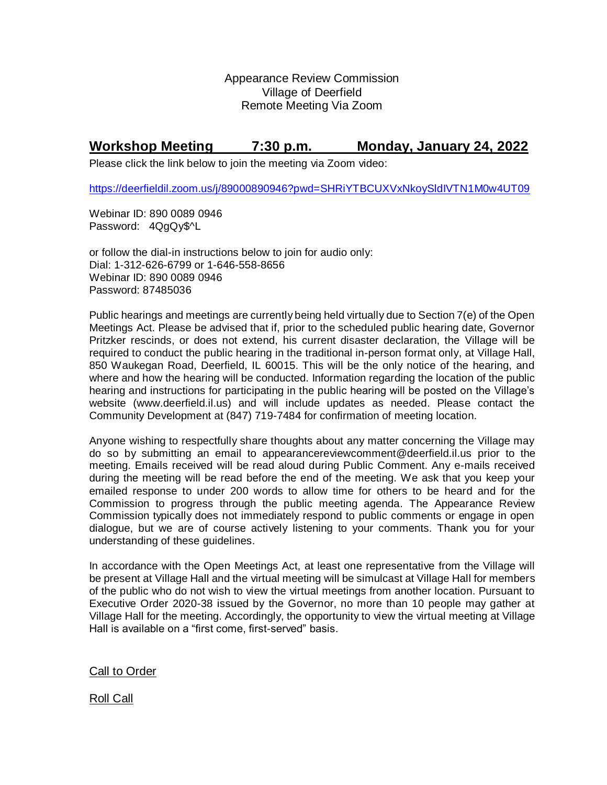Appearance Review Commission Village of Deerfield Remote Meeting Via Zoom

## **Workshop Meeting 7:30 p.m. Monday, January 24, 2022**

Please click the link below to join the meeting via Zoom video:

<https://deerfieldil.zoom.us/j/89000890946?pwd=SHRiYTBCUXVxNkoySldIVTN1M0w4UT09>

Webinar ID: 890 0089 0946 Password: 4QgQy\$^L

or follow the dial-in instructions below to join for audio only: Dial: 1-312-626-6799 or 1-646-558-8656 Webinar ID: 890 0089 0946 Password: 87485036

Public hearings and meetings are currently being held virtually due to Section 7(e) of the Open Meetings Act. Please be advised that if, prior to the scheduled public hearing date, Governor Pritzker rescinds, or does not extend, his current disaster declaration, the Village will be required to conduct the public hearing in the traditional in-person format only, at Village Hall, 850 Waukegan Road, Deerfield, IL 60015. This will be the only notice of the hearing, and where and how the hearing will be conducted. Information regarding the location of the public hearing and instructions for participating in the public hearing will be posted on the Village's website (www.deerfield.il.us) and will include updates as needed. Please contact the Community Development at (847) 719-7484 for confirmation of meeting location.

Anyone wishing to respectfully share thoughts about any matter concerning the Village may do so by submitting an email to [appearancereviewcomment@deerfield.il.us](mailto:appearancereviewcomment@deerfield.il.us) prior to the meeting. Emails received will be read aloud during Public Comment. Any e-mails received during the meeting will be read before the end of the meeting. We ask that you keep your emailed response to under 200 words to allow time for others to be heard and for the Commission to progress through the public meeting agenda. The Appearance Review Commission typically does not immediately respond to public comments or engage in open dialogue, but we are of course actively listening to your comments. Thank you for your understanding of these guidelines.

In accordance with the Open Meetings Act, at least one representative from the Village will be present at Village Hall and the virtual meeting will be simulcast at Village Hall for members of the public who do not wish to view the virtual meetings from another location. Pursuant to Executive Order 2020-38 issued by the Governor, no more than 10 people may gather at Village Hall for the meeting. Accordingly, the opportunity to view the virtual meeting at Village Hall is available on a "first come, first-served" basis.

Call to Order

Roll Call